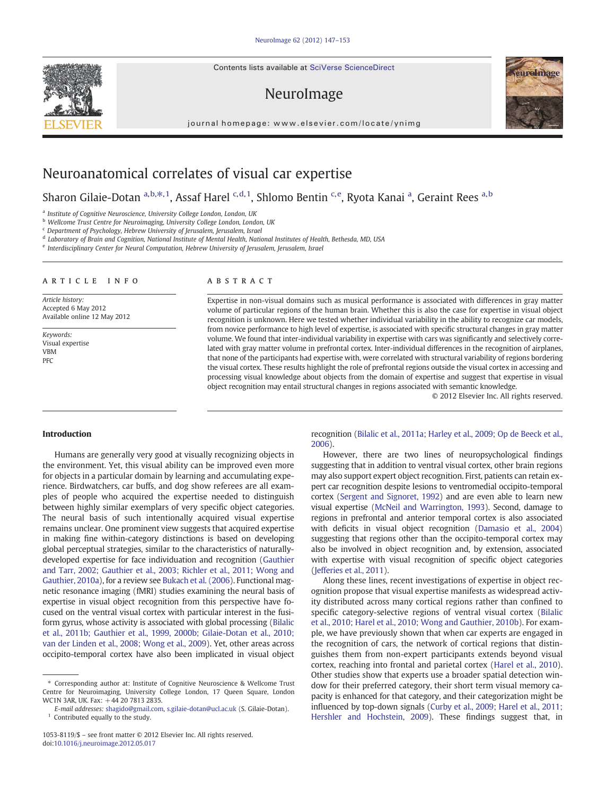Contents lists available at SciVerse ScienceDirect

# NeuroImage

journal homepage: www.elsevier.com/locate/ynimg



# Neuroanatomical correlates of visual car expertise

Sharon Gilaie-Dotan <sup>a,b, $\ast$ ,1, Assaf Harel <sup>c,d,1</sup>, Shlomo Bentin <sup>c,e</sup>, Ryota Kanai <sup>a</sup>, Geraint Rees <sup>a,b</sup></sup>

a Institute of Cognitive Neuroscience, University College London, London, UK

b Wellcome Trust Centre for Neuroimaging, University College London, London, UK

<sup>c</sup> Department of Psychology, Hebrew University of Jerusalem, Jerusalem, Israel

<sup>d</sup> Laboratory of Brain and Cognition, National Institute of Mental Health, National Institutes of Health, Bethesda, MD, USA

<sup>e</sup> Interdisciplinary Center for Neural Computation, Hebrew University of Jerusalem, Jerusalem, Israel

#### article info abstract

Article history: Accepted 6 May 2012 Available online 12 May 2012

Keywords: Visual expertise VBM PFC

Expertise in non-visual domains such as musical performance is associated with differences in gray matter volume of particular regions of the human brain. Whether this is also the case for expertise in visual object recognition is unknown. Here we tested whether individual variability in the ability to recognize car models, from novice performance to high level of expertise, is associated with specific structural changes in gray matter volume. We found that inter-individual variability in expertise with cars was significantly and selectively correlated with gray matter volume in prefrontal cortex. Inter-individual differences in the recognition of airplanes, that none of the participants had expertise with, were correlated with structural variability of regions bordering the visual cortex. These results highlight the role of prefrontal regions outside the visual cortex in accessing and processing visual knowledge about objects from the domain of expertise and suggest that expertise in visual object recognition may entail structural changes in regions associated with semantic knowledge.

© 2012 Elsevier Inc. All rights reserved.

# Introduction

Humans are generally very good at visually recognizing objects in the environment. Yet, this visual ability can be improved even more for objects in a particular domain by learning and accumulating experience. Birdwatchers, car buffs, and dog show referees are all examples of people who acquired the expertise needed to distinguish between highly similar exemplars of very specific object categories. The neural basis of such intentionally acquired visual expertise remains unclear. One prominent view suggests that acquired expertise in making fine within-category distinctions is based on developing global perceptual strategies, similar to the characteristics of naturallydeveloped expertise for face individuation and recognition [\(Gauthier](#page-5-0) [and Tarr, 2002; Gauthier et al., 2003; Richler et al., 2011; Wong and](#page-5-0) [Gauthier, 2010a\)](#page-5-0), for a review see [Bukach et al. \(2006](#page-5-0)). Functional magnetic resonance imaging (fMRI) studies examining the neural basis of expertise in visual object recognition from this perspective have focused on the ventral visual cortex with particular interest in the fusiform gyrus, whose activity is associated with global processing [\(Bilalic](#page-5-0) [et al., 2011b; Gauthier et al., 1999, 2000b; Gilaie-Dotan et al., 2010;](#page-5-0) [van der Linden et al., 2008; Wong et al., 2009\)](#page-5-0). Yet, other areas across occipito-temporal cortex have also been implicated in visual object

recognition ([Bilalic et al., 2011a; Harley et al., 2009; Op de Beeck et al.,](#page-5-0) [2006](#page-5-0)).

However, there are two lines of neuropsychological findings suggesting that in addition to ventral visual cortex, other brain regions may also support expert object recognition. First, patients can retain expert car recognition despite lesions to ventromedial occipito-temporal cortex [\(Sergent and Signoret, 1992\)](#page-6-0) and are even able to learn new visual expertise [\(McNeil and Warrington, 1993\)](#page-6-0). Second, damage to regions in prefrontal and anterior temporal cortex is also associated with deficits in visual object recognition [\(Damasio et al., 2004](#page-5-0)) suggesting that regions other than the occipito-temporal cortex may also be involved in object recognition and, by extension, associated with expertise with visual recognition of specific object categories [\(Jefferies et al., 2011\)](#page-6-0).

Along these lines, recent investigations of expertise in object recognition propose that visual expertise manifests as widespread activity distributed across many cortical regions rather than confined to specific category-selective regions of ventral visual cortex ([Bilalic](#page-5-0) [et al., 2010; Harel et al., 2010; Wong and Gauthier, 2010b\)](#page-5-0). For example, we have previously shown that when car experts are engaged in the recognition of cars, the network of cortical regions that distinguishes them from non-expert participants extends beyond visual cortex, reaching into frontal and parietal cortex ([Harel et al., 2010](#page-5-0)). Other studies show that experts use a broader spatial detection window for their preferred category, their short term visual memory capacity is enhanced for that category, and their categorization might be influenced by top-down signals ([Curby et al., 2009; Harel et al., 2011;](#page-5-0) [Hershler and Hochstein, 2009\)](#page-5-0). These findings suggest that, in

<sup>⁎</sup> Corresponding author at: Institute of Cognitive Neuroscience & Wellcome Trust Centre for Neuroimaging, University College London, 17 Queen Square, London WC1N 3AR, UK. Fax: +44 20 7813 2835.

E-mail addresses: [shagido@gmail.com](mailto:shagido@gmail.com), [s.gilaie-dotan@ucl.ac.uk](mailto:s.gilaie-dotan@ucl.ac.uk) (S. Gilaie-Dotan).  $1$  Contributed equally to the study.

<sup>1053-8119/\$</sup> – see front matter © 2012 Elsevier Inc. All rights reserved. doi:[10.1016/j.neuroimage.2012.05.017](http://dx.doi.org/10.1016/j.neuroimage.2012.05.017)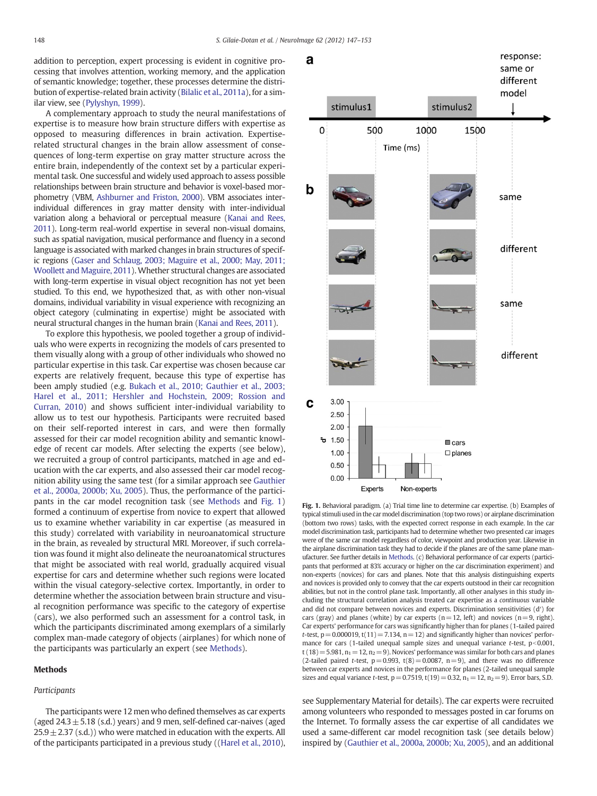<span id="page-1-0"></span>addition to perception, expert processing is evident in cognitive processing that involves attention, working memory, and the application of semantic knowledge; together, these processes determine the distribution of expertise-related brain activity ([Bilalic et al., 2011a\)](#page-5-0), for a similar view, see ([Pylyshyn, 1999](#page-6-0)).

A complementary approach to study the neural manifestations of expertise is to measure how brain structure differs with expertise as opposed to measuring differences in brain activation. Expertiserelated structural changes in the brain allow assessment of consequences of long-term expertise on gray matter structure across the entire brain, independently of the context set by a particular experimental task. One successful and widely used approach to assess possible relationships between brain structure and behavior is voxel-based morphometry (VBM, [Ashburner and Friston, 2000](#page-5-0)). VBM associates interindividual differences in gray matter density with inter-individual variation along a behavioral or perceptual measure [\(Kanai and Rees,](#page-6-0) [2011](#page-6-0)). Long-term real-world expertise in several non-visual domains, such as spatial navigation, musical performance and fluency in a second language is associated with marked changes in brain structures of specific regions [\(Gaser and Schlaug, 2003; Maguire et al., 2000; May, 2011;](#page-5-0) [Woollett and Maguire, 2011\)](#page-5-0). Whether structural changes are associated with long-term expertise in visual object recognition has not yet been studied. To this end, we hypothesized that, as with other non-visual domains, individual variability in visual experience with recognizing an object category (culminating in expertise) might be associated with neural structural changes in the human brain [\(Kanai and Rees, 2011](#page-6-0)).

To explore this hypothesis, we pooled together a group of individuals who were experts in recognizing the models of cars presented to them visually along with a group of other individuals who showed no particular expertise in this task. Car expertise was chosen because car experts are relatively frequent, because this type of expertise has been amply studied (e.g. [Bukach et al., 2010; Gauthier et al., 2003;](#page-5-0) [Harel et al., 2011; Hershler and Hochstein, 2009; Rossion and](#page-5-0) [Curran, 2010\)](#page-5-0) and shows sufficient inter-individual variability to allow us to test our hypothesis. Participants were recruited based on their self-reported interest in cars, and were then formally assessed for their car model recognition ability and semantic knowledge of recent car models. After selecting the experts (see below), we recruited a group of control participants, matched in age and education with the car experts, and also assessed their car model recognition ability using the same test (for a similar approach see [Gauthier](#page-5-0) [et al., 2000a, 2000b; Xu, 2005](#page-5-0)). Thus, the performance of the participants in the car model recognition task (see Methods and Fig. 1) formed a continuum of expertise from novice to expert that allowed us to examine whether variability in car expertise (as measured in this study) correlated with variability in neuroanatomical structure in the brain, as revealed by structural MRI. Moreover, if such correlation was found it might also delineate the neuroanatomical structures that might be associated with real world, gradually acquired visual expertise for cars and determine whether such regions were located within the visual category-selective cortex. Importantly, in order to determine whether the association between brain structure and visual recognition performance was specific to the category of expertise (cars), we also performed such an assessment for a control task, in which the participants discriminated among exemplars of a similarly complex man-made category of objects (airplanes) for which none of the participants was particularly an expert (see Methods).

#### Methods

#### Participants

The participants were 12 men who defined themselves as car experts (aged  $24.3 \pm 5.18$  (s.d.) years) and 9 men, self-defined car-naives (aged  $25.9 \pm 2.37$  (s.d.)) who were matched in education with the experts. All of the participants participated in a previous study ([\(Harel et al., 2010\)](#page-5-0),



Fig. 1. Behavioral paradigm. (a) Trial time line to determine car expertise. (b) Examples of typical stimuli used in the car model discrimination (top two rows) or airplane discrimination (bottom two rows) tasks, with the expected correct response in each example. In the car model discrimination task, participants had to determine whether two presented car images were of the same car model regardless of color, viewpoint and production year. Likewise in the airplane discrimination task they had to decide if the planes are of the same plane manufacturer. See further details in Methods. (c) Behavioral performance of car experts (participants that performed at 83% accuracy or higher on the car discrimination experiment) and non-experts (novices) for cars and planes. Note that this analysis distinguishing experts and novices is provided only to convey that the car experts outstood in their car recognition abilities, but not in the control plane task. Importantly, all other analyses in this study including the structural correlation analysis treated car expertise as a continuous variable and did not compare between novices and experts. Discrimination sensitivities (d′) for cars (gray) and planes (white) by car experts ( $n=12$ , left) and novices ( $n=9$ , right). Car experts' performance for cars was significantly higher than for planes (1-tailed paired t-test,  $p=0.000019$ , t(11) = 7.134, n = 12) and significantly higher than novices' performance for cars (1-tailed unequal sample sizes and unequal variance t-test,  $p<0.001$ , t (18) = 5.981,  $n_1$  = 12,  $n_2$  = 9). Novices' performance was similar for both cars and planes (2-tailed paired t-test,  $p=0.993$ ,  $t(8)=0.0087$ ,  $n=9$ ), and there was no difference between car experts and novices in the performance for planes (2-tailed unequal sample sizes and equal variance *t*-test,  $p = 0.7519$ ,  $t(19) = 0.32$ ,  $n_1 = 12$ ,  $n_2 = 9$ ). Error bars, S.D.

see Supplementary Material for details). The car experts were recruited among volunteers who responded to messages posted in car forums on the Internet. To formally assess the car expertise of all candidates we used a same-different car model recognition task (see details below) inspired by ([Gauthier et al., 2000a, 2000b; Xu, 2005\)](#page-5-0), and an additional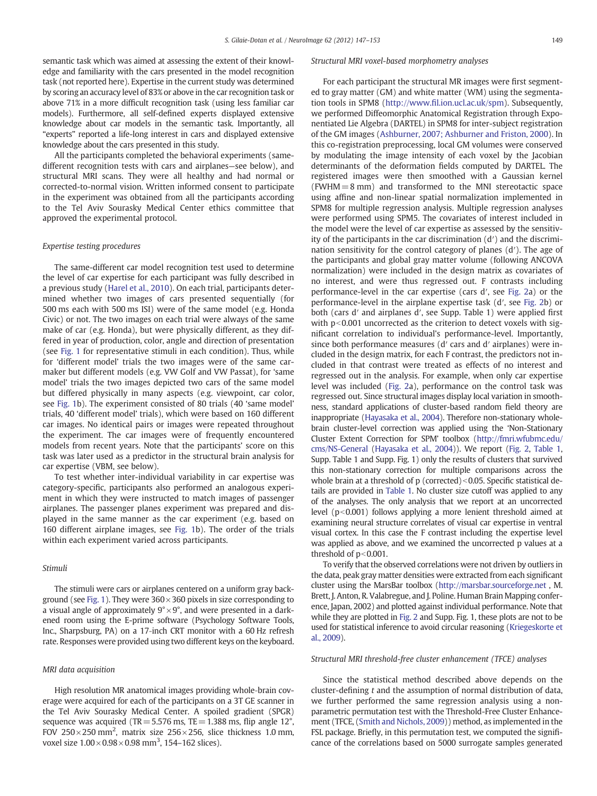semantic task which was aimed at assessing the extent of their knowledge and familiarity with the cars presented in the model recognition task (not reported here). Expertise in the current study was determined by scoring an accuracy level of 83% or above in the car recognition task or above 71% in a more difficult recognition task (using less familiar car models). Furthermore, all self-defined experts displayed extensive knowledge about car models in the semantic task. Importantly, all "experts" reported a life-long interest in cars and displayed extensive knowledge about the cars presented in this study.

All the participants completed the behavioral experiments (samedifferent recognition tests with cars and airplanes—see below), and structural MRI scans. They were all healthy and had normal or corrected-to-normal vision. Written informed consent to participate in the experiment was obtained from all the participants according to the Tel Aviv Sourasky Medical Center ethics committee that approved the experimental protocol.

### Expertise testing procedures

The same-different car model recognition test used to determine the level of car expertise for each participant was fully described in a previous study ([Harel et al., 2010\)](#page-5-0). On each trial, participants determined whether two images of cars presented sequentially (for 500 ms each with 500 ms ISI) were of the same model (e.g. Honda Civic) or not. The two images on each trial were always of the same make of car (e.g. Honda), but were physically different, as they differed in year of production, color, angle and direction of presentation (see [Fig. 1](#page-1-0) for representative stimuli in each condition). Thus, while for 'different model' trials the two images were of the same carmaker but different models (e.g. VW Golf and VW Passat), for 'same model' trials the two images depicted two cars of the same model but differed physically in many aspects (e.g. viewpoint, car color, see [Fig. 1b](#page-1-0)). The experiment consisted of 80 trials (40 'same model' trials, 40 'different model' trials), which were based on 160 different car images. No identical pairs or images were repeated throughout the experiment. The car images were of frequently encountered models from recent years. Note that the participants' score on this task was later used as a predictor in the structural brain analysis for car expertise (VBM, see below).

To test whether inter-individual variability in car expertise was category-specific, participants also performed an analogous experiment in which they were instructed to match images of passenger airplanes. The passenger planes experiment was prepared and displayed in the same manner as the car experiment (e.g. based on 160 different airplane images, see [Fig. 1](#page-1-0)b). The order of the trials within each experiment varied across participants.

### Stimuli

The stimuli were cars or airplanes centered on a uniform gray back-ground (see [Fig. 1](#page-1-0)). They were  $360 \times 360$  pixels in size corresponding to a visual angle of approximately  $9^{\circ} \times 9^{\circ}$ , and were presented in a darkened room using the E-prime software (Psychology Software Tools, Inc., Sharpsburg, PA) on a 17‐inch CRT monitor with a 60 Hz refresh rate. Responses were provided using two different keys on the keyboard.

### MRI data acquisition

High resolution MR anatomical images providing whole‐brain coverage were acquired for each of the participants on a 3T GE scanner in the Tel Aviv Sourasky Medical Center. A spoiled gradient (SPGR) sequence was acquired (TR=5.576 ms, TE=1.388 ms, flip angle  $12^{\circ}$ , FOV 250 $\times$ 250 mm<sup>2</sup>, matrix size 256 $\times$ 256, slice thickness 1.0 mm, voxel size  $1.00 \times 0.98 \times 0.98$  mm<sup>3</sup>, 154-162 slices).

#### Structural MRI voxel-based morphometry analyses

For each participant the structural MR images were first segmented to gray matter (GM) and white matter (WM) using the segmentation tools in SPM8 (http://www.fi[l.ion.ucl.ac.uk/spm\)](http://www.fil.ion.ucl.ac.uk/spm). Subsequently, we performed Diffeomorphic Anatomical Registration through Exponentiated Lie Algebra (DARTEL) in SPM8 for inter-subject registration of the GM images [\(Ashburner, 2007; Ashburner and Friston, 2000](#page-5-0)). In this co-registration preprocessing, local GM volumes were conserved by modulating the image intensity of each voxel by the Jacobian determinants of the deformation fields computed by DARTEL. The registered images were then smoothed with a Gaussian kernel  $(FWHM = 8$  mm) and transformed to the MNI stereotactic space using affine and non-linear spatial normalization implemented in SPM8 for multiple regression analysis. Multiple regression analyses were performed using SPM5. The covariates of interest included in the model were the level of car expertise as assessed by the sensitivity of the participants in the car discrimination (d′) and the discrimination sensitivity for the control category of planes (d′). The age of the participants and global gray matter volume (following ANCOVA normalization) were included in the design matrix as covariates of no interest, and were thus regressed out. F contrasts including performance-level in the car expertise (cars d′, see [Fig. 2a](#page-3-0)) or the performance-level in the airplane expertise task (d′, see [Fig. 2b](#page-3-0)) or both (cars d′ and airplanes d′, see Supp. Table 1) were applied first with  $p<0.001$  uncorrected as the criterion to detect voxels with significant correlation to individual's performance-level. Importantly, since both performance measures (d' cars and d' airplanes) were included in the design matrix, for each F contrast, the predictors not included in that contrast were treated as effects of no interest and regressed out in the analysis. For example, when only car expertise level was included ([Fig. 2](#page-3-0)a), performance on the control task was regressed out. Since structural images display local variation in smoothness, standard applications of cluster-based random field theory are inappropriate [\(Hayasaka et al., 2004\)](#page-5-0). Therefore non-stationary wholebrain cluster-level correction was applied using the 'Non-Stationary Cluster Extent Correction for SPM' toolbox ([http://fmri.wfubmc.edu/](http://fmri.wfubmc.edu/cms/NS-General) [cms/NS-General](http://fmri.wfubmc.edu/cms/NS-General) [\(Hayasaka et al., 2004\)](#page-5-0)). We report [\(Fig. 2,](#page-3-0) [Table 1,](#page-3-0) Supp. Table 1 and Supp. Fig. 1) only the results of clusters that survived this non-stationary correction for multiple comparisons across the whole brain at a threshold of  $p$  (corrected) $<$ 0.05. Specific statistical details are provided in [Table](#page-3-0) 1. No cluster size cutoff was applied to any of the analyses. The only analysis that we report at an uncorrected level  $(p<0.001)$  follows applying a more lenient threshold aimed at examining neural structure correlates of visual car expertise in ventral visual cortex. In this case the F contrast including the expertise level was applied as above, and we examined the uncorrected p values at a threshold of  $p<0.001$ .

To verify that the observed correlations were not driven by outliers in the data, peak gray matter densities were extracted from each significant cluster using the MarsBar toolbox (<http://marsbar.sourceforge.net> , M. Brett, J. Anton, R. Valabregue, and J. Poline. Human Brain Mapping conference, Japan, 2002) and plotted against individual performance. Note that while they are plotted in [Fig. 2](#page-3-0) and Supp. Fig. 1, these plots are not to be used for statistical inference to avoid circular reasoning ([Kriegeskorte et](#page-6-0) [al., 2009\)](#page-6-0).

### Structural MRI threshold-free cluster enhancement (TFCE) analyses

Since the statistical method described above depends on the cluster-defining t and the assumption of normal distribution of data, we further performed the same regression analysis using a nonparametric permutation test with the Threshold-Free Cluster Enhancement (TFCE, [\(Smith and Nichols, 2009](#page-6-0))) method, as implemented in the FSL package. Briefly, in this permutation test, we computed the significance of the correlations based on 5000 surrogate samples generated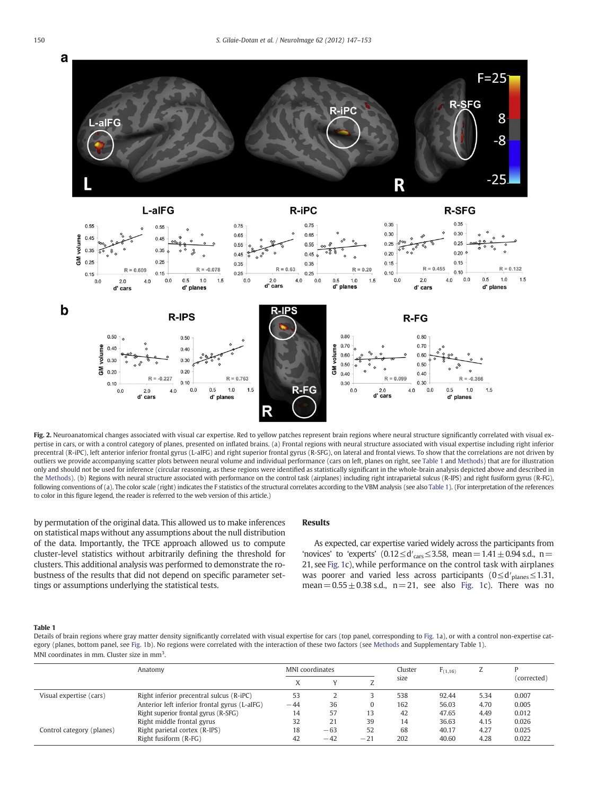<span id="page-3-0"></span>

Fig. 2. Neuroanatomical changes associated with visual car expertise. Red to yellow patches represent brain regions where neural structure significantly correlated with visual expertise in cars, or with a control category of planes, presented on inflated brains. (a) Frontal regions with neural structure associated with visual expertise including right inferior precentral (R-iPC), left anterior inferior frontal gyrus (L-aIFG) and right superior frontal gyrus (R-SFG), on lateral and frontal views. To show that the correlations are not driven by outliers we provide accompanying scatter plots between neural volume and individual performance (cars on left, planes on right, see Table 1 and [Methods](#page-1-0)) that are for illustration only and should not be used for inference (circular reasoning, as these regions were identified as statistically significant in the whole‐brain analysis depicted above and described in the [Methods\)](#page-1-0). (b) Regions with neural structure associated with performance on the control task (airplanes) including right intraparietal sulcus (R-IPS) and right fusiform gyrus (R-FG), following conventions of (a). The color scale (right) indicates the F statistics of the structural correlates according to the VBM analysis (see also Table 1). (For interpretation of the references to color in this figure legend, the reader is referred to the web version of this article.)

by permutation of the original data. This allowed us to make inferences on statistical maps without any assumptions about the null distribution of the data. Importantly, the TFCE approach allowed us to compute cluster-level statistics without arbitrarily defining the threshold for clusters. This additional analysis was performed to demonstrate the robustness of the results that did not depend on specific parameter settings or assumptions underlying the statistical tests.

#### Results

As expected, car expertise varied widely across the participants from 'novices' to 'experts'  $(0.12 \le d'_{\text{cars}} \le 3.58, \text{ mean} = 1.41 \pm 0.94 \text{ s.d., n} =$ 21, see [Fig. 1c](#page-1-0)), while performance on the control task with airplanes was poorer and varied less across participants  $(0 \le d'_{\text{planes}} \le 1.31,$ mean =  $0.55 \pm 0.38$  s.d., n = 21, see also [Fig. 1c](#page-1-0)). There was no

#### Table 1

Details of brain regions where gray matter density significantly correlated with visual expertise for cars (top panel, corresponding to [Fig. 1a](#page-1-0)), or with a control non-expertise category (planes, bottom panel, see [Fig. 1b](#page-1-0)). No regions were correlated with the interaction of these two factors (see [Methods](#page-1-0) and Supplementary Table 1). MNI coordinates in mm. Cluster size in mm<sup>3</sup>.

|                           | Anatomy                                       | MNI coordinates |       |       | Cluster | $F_{(1,16)}$ | L    |             |
|---------------------------|-----------------------------------------------|-----------------|-------|-------|---------|--------------|------|-------------|
|                           |                                               |                 |       |       | size    |              |      | (corrected) |
| Visual expertise (cars)   | Right inferior precentral sulcus (R-iPC)      | 53              |       |       | 538     | 92.44        | 5.34 | 0.007       |
|                           | Anterior left inferior frontal gyrus (L-aIFG) | $-44$           | 36    | 0     | 162     | 56.03        | 4.70 | 0.005       |
|                           | Right superior frontal gyrus (R-SFG)          | 14              | 57    | 13    | 42      | 47.65        | 4.49 | 0.012       |
|                           | Right middle frontal gyrus                    | 32              | 21    | 39    | 14      | 36.63        | 4.15 | 0.026       |
| Control category (planes) | Right parietal cortex (R-IPS)                 | 18              | $-63$ | 52    | 68      | 40.17        | 4.27 | 0.025       |
|                           | Right fusiform (R-FG)                         | 42              | $-42$ | $-21$ | 202     | 40.60        | 4.28 | 0.022       |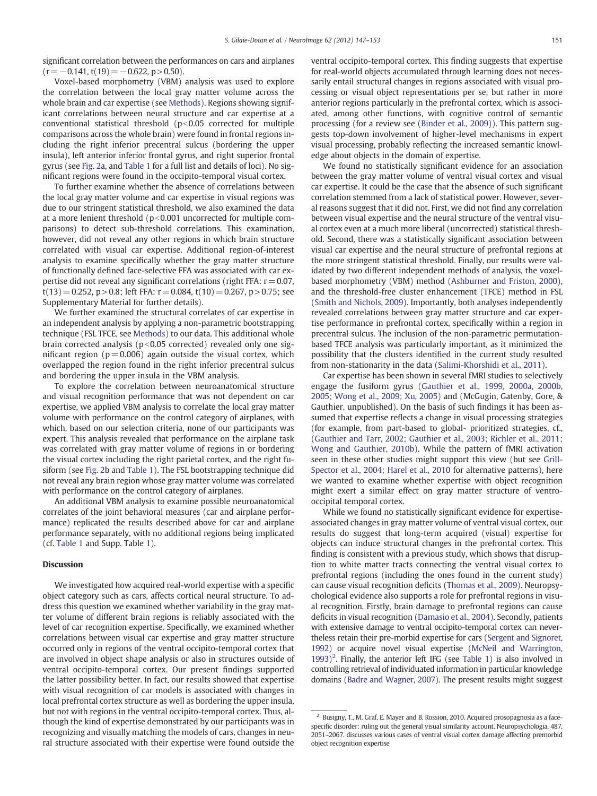significant correlation between the performances on cars and airplanes  $(r=-0.141, t(19)=-0.622, p>0.50)$ .

Voxel-based morphometry (VBM) analysis was used to explore the correlation between the local gray matter volume across the whole brain and car expertise (see [Methods](#page-1-0)). Regions showing significant correlations between neural structure and car expertise at a conventional statistical threshold  $(p<0.05$  corrected for multiple comparisons across the whole brain) were found in frontal regions including the right inferior precentral sulcus (bordering the upper insula), left anterior inferior frontal gyrus, and right superior frontal gyrus (see [Fig. 2a](#page-3-0), and [Table 1](#page-3-0) for a full list and details of loci). No significant regions were found in the occipito-temporal visual cortex.

To further examine whether the absence of correlations between the local gray matter volume and car expertise in visual regions was due to our stringent statistical threshold, we also examined the data at a more lenient threshold ( $p<0.001$  uncorrected for multiple comparisons) to detect sub-threshold correlations. This examination, however, did not reveal any other regions in which brain structure correlated with visual car expertise. Additional region-of-interest analysis to examine specifically whether the gray matter structure of functionally defined face-selective FFA was associated with car expertise did not reveal any significant correlations (right FFA:  $r = 0.07$ ,  $t(13) = 0.252$ , p > 0.8; left FFA:  $r = 0.084$ ,  $t(10) = 0.267$ , p > 0.75; see Supplementary Material for further details).

We further examined the structural correlates of car expertise in an independent analysis by applying a non-parametric bootstrapping technique (FSL TFCE, see [Methods\)](#page-1-0) to our data. This additional whole brain corrected analysis ( $p<0.05$  corrected) revealed only one significant region ( $p = 0.006$ ) again outside the visual cortex, which overlapped the region found in the right inferior precentral sulcus and bordering the upper insula in the VBM analysis.

To explore the correlation between neuroanatomical structure and visual recognition performance that was not dependent on car expertise, we applied VBM analysis to correlate the local gray matter volume with performance on the control category of airplanes, with which, based on our selection criteria, none of our participants was expert. This analysis revealed that performance on the airplane task was correlated with gray matter volume of regions in or bordering the visual cortex including the right parietal cortex, and the right fusiform (see [Fig. 2b](#page-3-0) and [Table 1](#page-3-0)). The FSL bootstrapping technique did not reveal any brain region whose gray matter volume was correlated with performance on the control category of airplanes.

An additional VBM analysis to examine possible neuroanatomical correlates of the joint behavioral measures (car and airplane performance) replicated the results described above for car and airplane performance separately, with no additional regions being implicated (cf. [Table 1](#page-3-0) and Supp. Table 1).

## Discussion

We investigated how acquired real-world expertise with a specific object category such as cars, affects cortical neural structure. To address this question we examined whether variability in the gray matter volume of different brain regions is reliably associated with the level of car recognition expertise. Specifically, we examined whether correlations between visual car expertise and gray matter structure occurred only in regions of the ventral occipito-temporal cortex that are involved in object shape analysis or also in structures outside of ventral occipito-temporal cortex. Our present findings supported the latter possibility better. In fact, our results showed that expertise with visual recognition of car models is associated with changes in local prefrontal cortex structure as well as bordering the upper insula, but not with regions in the ventral occipito-temporal cortex. Thus, although the kind of expertise demonstrated by our participants was in recognizing and visually matching the models of cars, changes in neural structure associated with their expertise were found outside the

ventral occipito-temporal cortex. This finding suggests that expertise for real-world objects accumulated through learning does not necessarily entail structural changes in regions associated with visual processing or visual object representations per se, but rather in more anterior regions particularly in the prefrontal cortex, which is associated, among other functions, with cognitive control of semantic processing (for a review see [\(Binder et al., 2009](#page-5-0))). This pattern suggests top-down involvement of higher-level mechanisms in expert visual processing, probably reflecting the increased semantic knowledge about objects in the domain of expertise.

We found no statistically significant evidence for an association between the gray matter volume of ventral visual cortex and visual car expertise. It could be the case that the absence of such significant correlation stemmed from a lack of statistical power. However, several reasons suggest that it did not. First, we did not find any correlation between visual expertise and the neural structure of the ventral visual cortex even at a much more liberal (uncorrected) statistical threshold. Second, there was a statistically significant association between visual car expertise and the neural structure of prefrontal regions at the more stringent statistical threshold. Finally, our results were validated by two different independent methods of analysis, the voxelbased morphometry (VBM) method [\(Ashburner and Friston, 2000](#page-5-0)), and the threshold-free cluster enhancement (TFCE) method in FSL [\(Smith and Nichols, 2009](#page-6-0)). Importantly, both analyses independently revealed correlations between gray matter structure and car expertise performance in prefrontal cortex, specifically within a region in precentral sulcus. The inclusion of the non‐parametric permutationbased TFCE analysis was particularly important, as it minimized the possibility that the clusters identified in the current study resulted from non-stationarity in the data [\(Salimi-Khorshidi et al., 2011\)](#page-6-0).

Car expertise has been shown in several fMRI studies to selectively engage the fusiform gyrus ([Gauthier et al., 1999, 2000a, 2000b,](#page-5-0) [2005; Wong et al., 2009; Xu, 2005\)](#page-5-0) and (McGugin, Gatenby, Gore, & Gauthier, unpublished). On the basis of such findings it has been assumed that expertise reflects a change in visual processing strategies (for example, from part-based to global- prioritized strategies, cf., [\(Gauthier and Tarr, 2002; Gauthier et al., 2003; Richler et al., 2011;](#page-5-0) [Wong and Gauthier, 2010b](#page-5-0)). While the pattern of fMRI activation seen in these other studies might support this view (but see [Grill-](#page-5-0)[Spector et al., 2004; Harel et al., 2010](#page-5-0) for alternative patterns), here we wanted to examine whether expertise with object recognition might exert a similar effect on gray matter structure of ventrooccipital temporal cortex.

While we found no statistically significant evidence for expertiseassociated changes in gray matter volume of ventral visual cortex, our results do suggest that long-term acquired (visual) expertise for objects can induce structural changes in the prefrontal cortex. This finding is consistent with a previous study, which shows that disruption to white matter tracts connecting the ventral visual cortex to prefrontal regions (including the ones found in the current study) can cause visual recognition deficits [\(Thomas et al., 2009](#page-6-0)). Neuropsychological evidence also supports a role for prefrontal regions in visual recognition. Firstly, brain damage to prefrontal regions can cause deficits in visual recognition [\(Damasio et al., 2004\)](#page-5-0). Secondly, patients with extensive damage to ventral occipito-temporal cortex can nevertheless retain their pre-morbid expertise for cars ([Sergent and Signoret,](#page-6-0) [1992](#page-6-0)) or acquire novel visual expertise ([McNeil and Warrington,](#page-6-0) [1993](#page-6-0))<sup>2</sup>. Finally, the anterior left IFG (see [Table 1](#page-3-0)) is also involved in controlling retrieval of individuated information in particular knowledge domains [\(Badre and Wagner, 2007](#page-5-0)). The present results might suggest

<sup>2</sup> Busigny, T., M. Graf, E. Mayer and B. Rossion, 2010. Acquired prosopagnosia as a facespecific disorder: ruling out the general visual similarity account. Neuropsychologia. 487, 2051–2067. discusses various cases of ventral visual cortex damage affecting premorbid object recognition expertise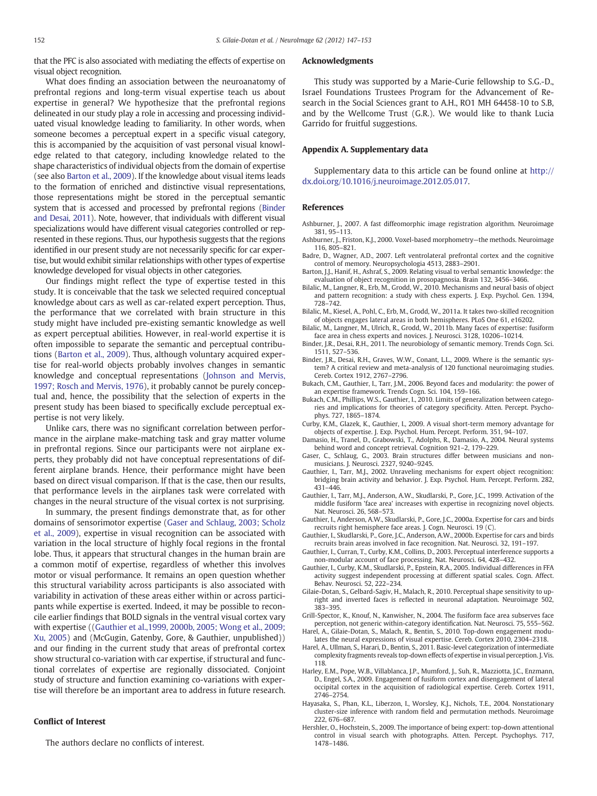<span id="page-5-0"></span>that the PFC is also associated with mediating the effects of expertise on visual object recognition.

What does finding an association between the neuroanatomy of prefrontal regions and long-term visual expertise teach us about expertise in general? We hypothesize that the prefrontal regions delineated in our study play a role in accessing and processing individuated visual knowledge leading to familiarity. In other words, when someone becomes a perceptual expert in a specific visual category, this is accompanied by the acquisition of vast personal visual knowledge related to that category, including knowledge related to the shape characteristics of individual objects from the domain of expertise (see also Barton et al., 2009). If the knowledge about visual items leads to the formation of enriched and distinctive visual representations, those representations might be stored in the perceptual semantic system that is accessed and processed by prefrontal regions (Binder and Desai, 2011). Note, however, that individuals with different visual specializations would have different visual categories controlled or represented in these regions. Thus, our hypothesis suggests that the regions identified in our present study are not necessarily specific for car expertise, but would exhibit similar relationships with other types of expertise knowledge developed for visual objects in other categories.

Our findings might reflect the type of expertise tested in this study. It is conceivable that the task we selected required conceptual knowledge about cars as well as car-related expert perception. Thus, the performance that we correlated with brain structure in this study might have included pre-existing semantic knowledge as well as expert perceptual abilities. However, in real-world expertise it is often impossible to separate the semantic and perceptual contributions (Barton et al., 2009). Thus, although voluntary acquired expertise for real-world objects probably involves changes in semantic knowledge and conceptual representations ([Johnson and Mervis,](#page-6-0) [1997; Rosch and Mervis, 1976](#page-6-0)), it probably cannot be purely conceptual and, hence, the possibility that the selection of experts in the present study has been biased to specifically exclude perceptual expertise is not very likely.

Unlike cars, there was no significant correlation between performance in the airplane make-matching task and gray matter volume in prefrontal regions. Since our participants were not airplane experts, they probably did not have conceptual representations of different airplane brands. Hence, their performance might have been based on direct visual comparison. If that is the case, then our results, that performance levels in the airplanes task were correlated with changes in the neural structure of the visual cortex is not surprising.

In summary, the present findings demonstrate that, as for other domains of sensorimotor expertise (Gaser and Schlaug, 2003; Scholz et al., 2009), expertise in visual recognition can be associated with variation in the local structure of highly focal regions in the frontal lobe. Thus, it appears that structural changes in the human brain are a common motif of expertise, regardless of whether this involves motor or visual performance. It remains an open question whether this structural variability across participants is also associated with variability in activation of these areas either within or across participants while expertise is exerted. Indeed, it may be possible to reconcile earlier findings that BOLD signals in the ventral visual cortex vary with expertise ((Gauthier et al.,1999, 2000b, 2005; Wong et al., 2009; Xu, 2005) and (McGugin, Gatenby, Gore, & Gauthier, unpublished)) and our finding in the current study that areas of prefrontal cortex show structural co-variation with car expertise, if structural and functional correlates of expertise are regionally dissociated. Conjoint study of structure and function examining co-variations with expertise will therefore be an important area to address in future research.

# Conflict of Interest

The authors declare no conflicts of interest.

#### Acknowledgments

This study was supported by a Marie-Curie fellowship to S.G.-D., Israel Foundations Trustees Program for the Advancement of Research in the Social Sciences grant to A.H., RO1 MH 64458‐10 to S.B, and by the Wellcome Trust (G.R.). We would like to thank Lucia Garrido for fruitful suggestions.

#### Appendix A. Supplementary data

Supplementary data to this article can be found online at http:// dx.doi.org/10.1016/j.neuroimage.2012.05.017.

# References

- Ashburner, J., 2007. A fast diffeomorphic image registration algorithm. Neuroimage 381, 95–113.
- Ashburner, J., Friston, K.J., 2000. Voxel-based morphometry—the methods. Neuroimage 116, 805–821.
- Badre, D., Wagner, A.D., 2007. Left ventrolateral prefrontal cortex and the cognitive control of memory. Neuropsychologia 4513, 2883–2901.
- Barton, J.J., Hanif, H., Ashraf, S., 2009. Relating visual to verbal semantic knowledge: the evaluation of object recognition in prosopagnosia. Brain 132, 3456–3466.
- Bilalic, M., Langner, R., Erb, M., Grodd, W., 2010. Mechanisms and neural basis of object and pattern recognition: a study with chess experts. J. Exp. Psychol. Gen. 1394, 728–742.
- Bilalic, M., Kiesel, A., Pohl, C., Erb, M., Grodd, W., 2011a. It takes two‐skilled recognition of objects engages lateral areas in both hemispheres. PLoS One 61, e16202.
- Bilalic, M., Langner, M., Ulrich, R., Grodd, W., 2011b. Many faces of expertise: fusiform face area in chess experts and novices. J. Neurosci. 3128, 10206–10214.
- Binder, J.R., Desai, R.H., 2011. The neurobiology of semantic memory. Trends Cogn. Sci. 1511, 527–536.
- Binder, J.R., Desai, R.H., Graves, W.W., Conant, L.L., 2009. Where is the semantic system? A critical review and meta-analysis of 120 functional neuroimaging studies. Cereb. Cortex 1912, 2767–2796.
- Bukach, C.M., Gauthier, I., Tarr, J.M., 2006. Beyond faces and modularity: the power of an expertise framework. Trends Cogn. Sci. 104, 159–166.
- Bukach, C.M., Phillips, W.S., Gauthier, I., 2010. Limits of generalization between categories and implications for theories of category specificity. Atten. Percept. Psychophys. 727, 1865–1874.
- Curby, K.M., Glazek, K., Gauthier, I., 2009. A visual short-term memory advantage for objects of expertise. J. Exp. Psychol. Hum. Percept. Perform. 351, 94–107.
- Damasio, H., Tranel, D., Grabowski, T., Adolphs, R., Damasio, A., 2004. Neural systems behind word and concept retrieval. Cognition 921–2, 179–229.
- Gaser, C., Schlaug, G., 2003. Brain structures differ between musicians and nonmusicians. J. Neurosci. 2327, 9240–9245.
- Gauthier, I., Tarr, M.J., 2002. Unraveling mechanisms for expert object recognition: bridging brain activity and behavior. J. Exp. Psychol. Hum. Percept. Perform. 282, 431–446.
- Gauthier, I., Tarr, M.J., Anderson, A.W., Skudlarski, P., Gore, J.C., 1999. Activation of the middle fusiform 'face area' increases with expertise in recognizing novel objects. Nat. Neurosci. 26, 568–573.
- Gauthier, I., Anderson, A.W., Skudlarski, P., Gore, J.C., 2000a. Expertise for cars and birds recruits right hemisphere face areas. J. Cogn. Neurosci. 19 (C).
- Gauthier, I., Skudlarski, P., Gore, J.C., Anderson, A.W., 2000b. Expertise for cars and birds recruits brain areas involved in face recognition. Nat. Neurosci. 32, 191–197.
- Gauthier, I., Curran, T., Curby, K.M., Collins, D., 2003. Perceptual interference supports a non-modular account of face processing. Nat. Neurosci. 64, 428–432.
- Gauthier, I., Curby, K.M., Skudlarski, P., Epstein, R.A., 2005. Individual differences in FFA activity suggest independent processing at different spatial scales. Cogn. Affect. Behav. Neurosci. 52, 222–234.
- Gilaie-Dotan, S., Gelbard-Sagiv, H., Malach, R., 2010. Perceptual shape sensitivity to upright and inverted faces is reflected in neuronal adaptation. Neuroimage 502, 383–395.
- Grill-Spector, K., Knouf, N., Kanwisher, N., 2004. The fusiform face area subserves face perception, not generic within-category identification. Nat. Neurosci. 75, 555–562.
- Harel, A., Gilaie-Dotan, S., Malach, R., Bentin, S., 2010. Top-down engagement modulates the neural expressions of visual expertise. Cereb. Cortex 2010, 2304–2318.
- Harel, A., Ullman, S., Harari, D., Bentin, S., 2011. Basic-level categorization of intermediate complexity fragments reveals top-down effects of expertise in visual perception. J. Vis. 118.
- Harley, E.M., Pope, W.B., Villablanca, J.P., Mumford, J., Suh, R., Mazziotta, J.C., Enzmann, D., Engel, S.A., 2009. Engagement of fusiform cortex and disengagement of lateral occipital cortex in the acquisition of radiological expertise. Cereb. Cortex 1911, 2746–2754.
- Hayasaka, S., Phan, K.L., Liberzon, I., Worsley, K.J., Nichols, T.E., 2004. Nonstationary cluster-size inference with random field and permutation methods. Neuroimage 222, 676–687.
- Hershler, O., Hochstein, S., 2009. The importance of being expert: top-down attentional control in visual search with photographs. Atten. Percept. Psychophys. 717, 1478–1486.